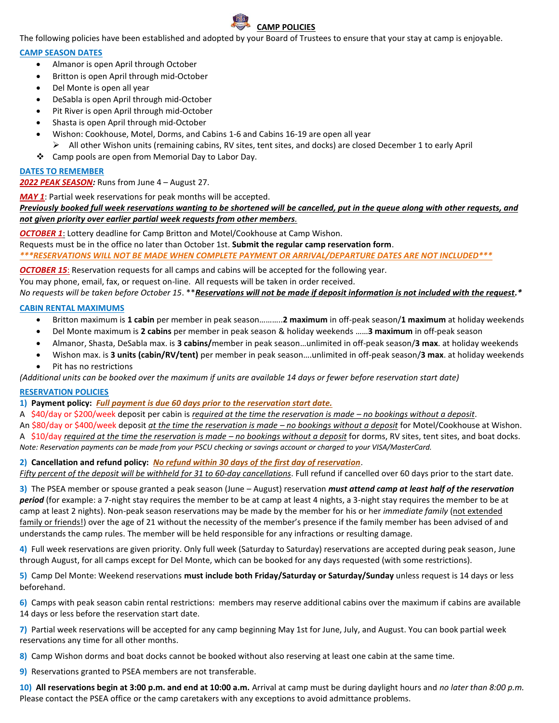

The following policies have been established and adopted by your Board of Trustees to ensure that your stay at camp is enjoyable.

#### **CAMP SEASON DATES**

- Almanor is open April through October
- Britton is open April through mid-October
- Del Monte is open all year
- DeSabla is open April through mid-October
- Pit River is open April through mid-October
- Shasta is open April through mid-October
- Wishon: Cookhouse, Motel, Dorms, and Cabins 1-6 and Cabins 16-19 are open all year ➢ All other Wishon units (remaining cabins, RV sites, tent sites, and docks) are closed December 1 to early April
- ❖ Camp pools are open from Memorial Day to Labor Day.

## **DATES TO REMEMBER**

## *2022 PEAK SEASON:* Runs from June 4 – August 27.

*MAY 1*: Partial week reservations for peak months will be accepted.

*Previously booked full week reservations wanting to be shortened will be cancelled, put in the queue along with other requests, and not given priority over earlier partial week requests from other members.*

*OCTOBER 1*: Lottery deadline for Camp Britton and Motel/Cookhouse at Camp Wishon.

Requests must be in the office no later than October 1st. **Submit the regular camp reservation form**. *\*\*\*RESERVATIONS WILL NOT BE MADE WHEN COMPLETE PAYMENT OR ARRIVAL/DEPARTURE DATES ARE NOT INCLUDED\*\*\**

**OCTOBER 15:** Reservation requests for all camps and cabins will be accepted for the following year. You may phone, email, fax, or request on-line. All requests will be taken in order received. *No requests will be taken before October 15*. \*\**Reservations will not be made if deposit information is not included with the request.\**

## **CABIN RENTAL MAXIMUMS**

- Britton maximum is **1 cabin** per member in peak season………..**2 maximum** in off-peak season/**1 maximum** at holiday weekends
- Del Monte maximum is **2 cabins** per member in peak season & holiday weekends ……**3 maximum** in off-peak season
- Almanor, Shasta, DeSabla max. is **3 cabins/**member in peak season…unlimited in off-peak season/**3 max**. at holiday weekends
- Wishon max. is **3 units (cabin/RV/tent)** per member in peak season….unlimited in off-peak season/**3 max**. at holiday weekends
- Pit has no restrictions

*(Additional units can be booked over the maximum if units are available 14 days or fewer before reservation start date)*

## **RESERVATION POLICIES**

**1) Payment policy:** *Full payment is due 60 days prior to the reservation start date.*

A \$40/day or \$200/week deposit per cabin is *required at the time the reservation is made – no bookings without a deposit*. An \$80/day or \$400/week deposit *at the time the reservation is made – no bookings without a deposit* for Motel/Cookhouse at Wishon.

A \$10/day *required at the time the reservation is made – no bookings without a deposit* for dorms, RV sites, tent sites, and boat docks. *Note: Reservation payments can be made from your PSCU checking or savings account or charged to your VISA/MasterCard.*

## **2) Cancellation and refund policy:** *No refund within 30 days of the first day of reservation*.

*Fifty percent of the deposit will be withheld for 31 to 60-day cancellations*. Full refund if cancelled over 60 days prior to the start date.

**3)** The PSEA member or spouse granted a peak season (June – August) reservation *must attend camp at least half of the reservation period* (for example: a 7-night stay requires the member to be at camp at least 4 nights, a 3-night stay requires the member to be at camp at least 2 nights). Non-peak season reservations may be made by the member for his or her *immediate family* (not extended family or friends!) over the age of 21 without the necessity of the member's presence if the family member has been advised of and understands the camp rules. The member will be held responsible for any infractions or resulting damage.

**4)** Full week reservations are given priority. Only full week (Saturday to Saturday) reservations are accepted during peak season, June through August, for all camps except for Del Monte, which can be booked for any days requested (with some restrictions).

**5)** Camp Del Monte: Weekend reservations **must include both Friday/Saturday or Saturday/Sunday** unless request is 14 days or less beforehand.

**6)** Camps with peak season cabin rental restrictions: members may reserve additional cabins over the maximum if cabins are available 14 days or less before the reservation start date.

**7)** Partial week reservations will be accepted for any camp beginning May 1st for June, July, and August. You can book partial week reservations any time for all other months.

**8)** Camp Wishon dorms and boat docks cannot be booked without also reserving at least one cabin at the same time.

**9)** Reservations granted to PSEA members are not transferable.

**10) All reservations begin at 3:00 p.m. and end at 10:00 a.m.** Arrival at camp must be during daylight hours and *no later than 8:00 p.m.* Please contact the PSEA office or the camp caretakers with any exceptions to avoid admittance problems.